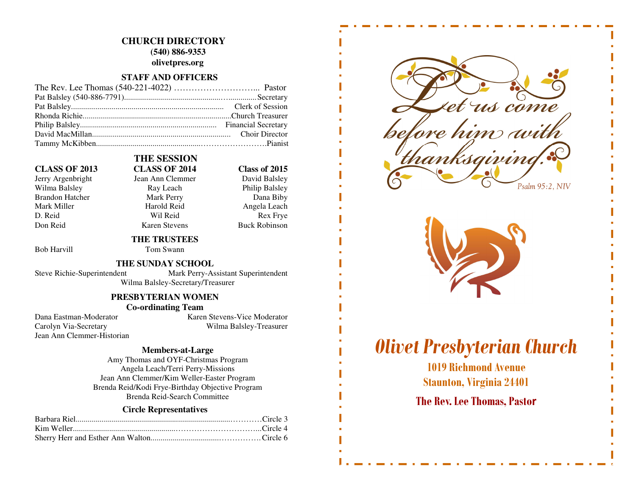# **CHURCH DIRECTORY (540) 886-9353**

**olivetpres.org** 

### **STAFF AND OFFICERS**

Jerry Argenbright Jean Ann Clemmer Wilma Balsley **Ray Leach** Philip Balsley Brandon Hatcher Mark Perry Dana Biby Mark Miller **Mark Angela Leach** Harold Reid **Angela Leach** D. Reid Rex Frye Don Reid Karen Stevens Buck Robinson

## **THE SESSION CLASS OF 2013 CLASS OF 2014 Class of 2015**

David Balsley

# **THE TRUSTEES**

Bob Harvill Tom Swann

### **THE SUNDAY SCHOOL**

Steve Richie-Superintendent Mark Perry-Assistant Superintendent

Wilma Balsley-Secretary/Treasurer

## **PRESBYTERIAN WOMEN**

## **Co-ordinating Team**

Jean Ann Clemmer-Historian

Dana Eastman-Moderator Karen Stevens-Vice Moderator Carolyn Via-Secretary Wilma Balsley-Treasurer

#### **Members-at-Large**

 Amy Thomas and OYF-Christmas Program Angela Leach/Terri Perry-Missions Jean Ann Clemmer/Kim Weller-Easter Program Brenda Reid/Kodi Frye-Birthday Objective Program Brenda Reid-Search Committee

#### **Circle Representatives**



# Olivet Presbyterian Church

1019 Richmond Avenue Staunton, Virginia 24401

# The Rev. Lee Thomas, Pastor